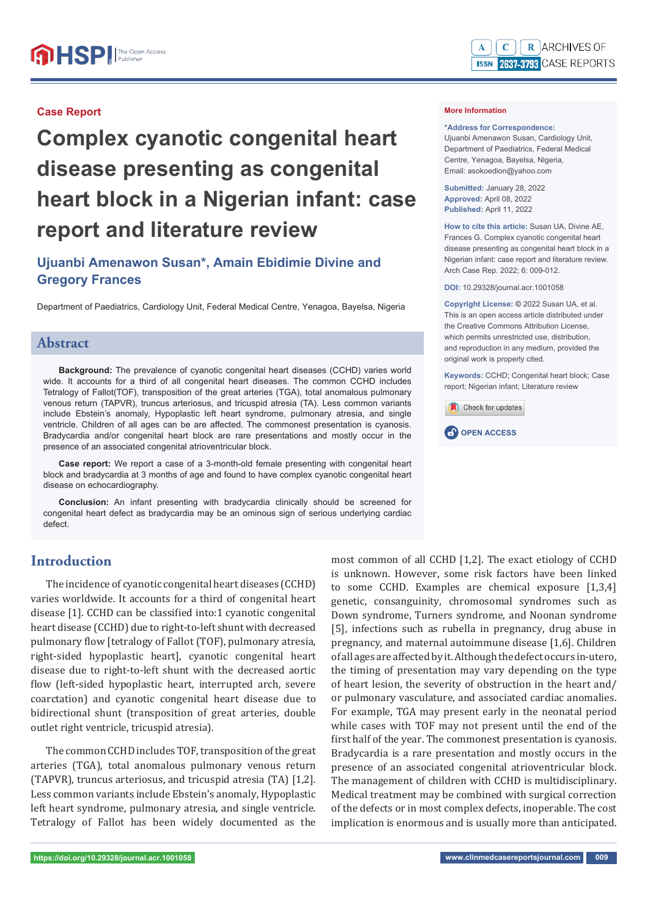#### R ARCHIVES OF  $\mathbf C$ **ISSN 2637-3793 CASE REPORTS**

# **Complex cyanotic congenital heart disease presenting as congenital heart block in a Nigerian infant: case report and literature review**

# **Ujuanbi Amenawon Susan\*, Amain Ebidimie Divine and Gregory Frances**

Department of Paediatrics, Cardiology Unit, Federal Medical Centre, Yenagoa, Bayelsa, Nigeria

# **Abstract**

**Background:** The prevalence of cyanotic congenital heart diseases (CCHD) varies world wide. It accounts for a third of all congenital heart diseases. The common CCHD includes Tetralogy of Fallot(TOF), transposition of the great arteries (TGA), total anomalous pulmonary venous return (TAPVR), truncus arteriosus, and tricuspid atresia (TA). Less common variants include Ebstein's anomaly, Hypoplastic left heart syndrome, pulmonary atresia, and single ventricle. Children of all ages can be are affected. The commonest presentation is cyanosis. Bradycardia and/or congenital heart block are rare presentations and mostly occur in the presence of an associated congenital atrioventricular block.

**Case report:** We report a case of a 3-month-old female presenting with congenital heart block and bradycardia at 3 months of age and found to have complex cyanotic congenital heart disease on echocardiography.

**Conclusion:** An infant presenting with bradycardia clinically should be screened for congenital heart defect as bradycardia may be an ominous sign of serious underlying cardiac defect.

# **Introduction**

The incidence of cyanotic congenital heart diseases (CCHD) varies worldwide. It accounts for a third of congenital heart disease [1]. CCHD can be classified into:1 cyanotic congenital heart disease (CCHD) due to right-to-left shunt with decreased pulmonary flow [tetralogy of Fallot (TOF), pulmonary atresia, right-sided hypoplastic heart], cyanotic congenital heart disease due to right-to-left shunt with the decreased aortic flow (left-sided hypoplastic heart, interrupted arch, severe coarctation) and cyanotic congenital heart disease due to bidirectional shunt (transposition of great arteries, double outlet right ventricle, tricuspid atresia).

The common CCHD includes TOF, transposition of the great arteries (TGA), total anomalous pulmonary venous return (TAPVR), truncus arteriosus, and tricuspid atresia (TA) [1,2]. Less common variants include Ebstein's anomaly, Hypoplastic left heart syndrome, pulmonary atresia, and single ventricle. Tetralogy of Fallot has been widely documented as the

most common of all CCHD [1,2]. The exact etiology of CCHD is unknown. However, some risk factors have been linked to some CCHD. Examples are chemical exposure [1,3,4] genetic, consanguinity, chromosomal syndromes such as Down syndrome, Turners syndrome, and Noonan syndrome [5], infections such as rubella in pregnancy, drug abuse in pregnancy, and maternal autoimmune disease [1,6]. Children of all ages are affected by it. Although the defect occurs in-utero, the timing of presentation may vary depending on the type of heart lesion, the severity of obstruction in the heart and/ or pulmonary vasculature, and associated cardiac anomalies. For example, TGA may present early in the neonatal period while cases with TOF may not present until the end of the first half of the year. The commonest presentation is cyanosis. Bradycardia is a rare presentation and mostly occurs in the presence of an associated congenital atrioventricular block. The management of children with CCHD is multidisciplinary. Medical treatment may be combined with surgical correction of the defects or in most complex defects, inoperable. The cost implication is enormous and is usually more than anticipated.

 $\mathbf{A}$ 

**\*Address for Correspondence:** 

Ujuanbi Amenawon Susan, Cardiology Unit, Department of Paediatrics, Federal Medical Centre, Yenagoa, Bayelsa, Nigeria, Email: asokoedion@yahoo.com

**Submitted:** January 28, 2022 **Approved:** April 08, 2022 **Published:** April 11, 2022

**How to cite this article:** Susan UA, Divine AE, Frances G. Complex cyanotic congenital heart disease presenting as congenital heart block in a Nigerian infant: case report and literature review. Arch Case Rep. 2022; 6: 009-012.

**DOI:** 10.29328/journal.acr.1001058

**Copyright License: ©** 2022 Susan UA, et al. This is an open access article distributed under the Creative Commons Attribution License, which permits unrestricted use, distribution, and reproduction in any medium, provided the original work is properly cited.

**Keywords:** CCHD; Congenital heart block; Case report; Nigerian infant; Literature review



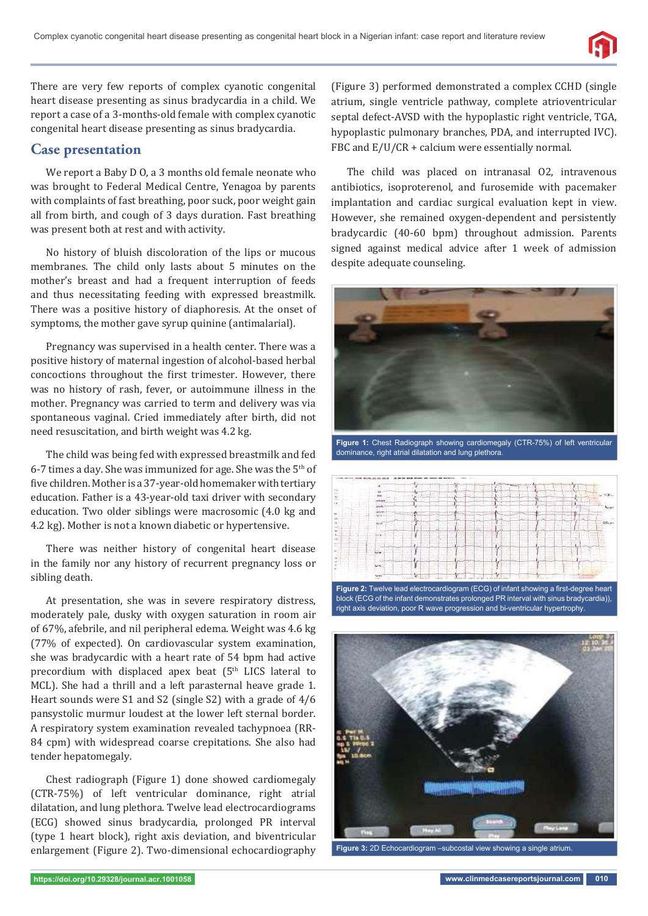

There are very few reports of complex cyanotic congenital heart disease presenting as sinus bradycardia in a child. We report a case of a 3-months-old female with complex cyanotic congenital heart disease presenting as sinus bradycardia.

#### **Case presentation**

We report a Baby D O, a 3 months old female neonate who was brought to Federal Medical Centre, Yenagoa by parents with complaints of fast breathing, poor suck, poor weight gain all from birth, and cough of 3 days duration. Fast breathing was present both at rest and with activity.

No history of bluish discoloration of the lips or mucous membranes. The child only lasts about 5 minutes on the mother's breast and had a frequent interruption of feeds and thus necessitating feeding with expressed breastmilk. There was a positive history of diaphoresis. At the onset of symptoms, the mother gave syrup quinine (antimalarial).

Pregnancy was supervised in a health center. There was a positive history of maternal ingestion of alcohol-based herbal concoctions throughout the first trimester. However, there was no history of rash, fever, or autoimmune illness in the mother. Pregnancy was carried to term and delivery was via spontaneous vaginal. Cried immediately after birth, did not need resuscitation, and birth weight was 4.2 kg.

The child was being fed with expressed breastmilk and fed 6-7 times a day. She was immunized for age. She was the  $5<sup>th</sup>$  of five children. Mother is a 37-year-old homemaker with tertiary education. Father is a 43-year-old taxi driver with secondary education. Two older siblings were macrosomic (4.0 kg and 4.2 kg). Mother is not a known diabetic or hypertensive.

There was neither history of congenital heart disease in the family nor any history of recurrent pregnancy loss or sibling death.

At presentation, she was in severe respiratory distress, moderately pale, dusky with oxygen saturation in room air of 67%, afebrile, and nil peripheral edema. Weight was 4.6 kg (77% of expected). On cardiovascular system examination, she was bradycardic with a heart rate of 54 bpm had active precordium with displaced apex beat (5<sup>th</sup> LICS lateral to MCL). She had a thrill and a left parasternal heave grade 1. Heart sounds were S1 and S2 (single S2) with a grade of 4/6 pansystolic murmur loudest at the lower left sternal border. A respiratory system examination revealed tachypnoea (RR-84 cpm) with widespread coarse crepitations. She also had tender hepatomegaly.

Chest radiograph (Figure 1) done showed cardiomegaly (CTR-75%) of left ventricular dominance, right atrial dilatation, and lung plethora. Twelve lead electrocardiograms (ECG) showed sinus bradycardia, prolonged PR interval (type 1 heart block), right axis deviation, and biventricular enlargement (Figure 2). Two-dimensional echocardiography

(Figure 3) performed demonstrated a complex CCHD (single atrium, single ventricle pathway, complete atrioventricular septal defect-AVSD with the hypoplastic right ventricle, TGA, hypoplastic pulmonary branches, PDA, and interrupted IVC). FBC and  $E/U/CR$  + calcium were essentially normal.

The child was placed on intranasal O2, intravenous antibiotics, isoproterenol, and furosemide with pacemaker implantation and cardiac surgical evaluation kept in view. However, she remained oxygen-dependent and persistently bradycardic (40-60 bpm) throughout admission. Parents signed against medical advice after 1 week of admission despite adequate counseling.



**Figure 1:** Chest Radiograph showing cardiomegaly (CTR-75%) of left ventricular dominance, right atrial dilatation and lung plethora.



Figure 2: Twelve lead electrocardiogram (ECG) of infant showing a first-degree heart block (ECG of the infant demonstrates prolonged PR interval with sinus bradycardia)), right axis deviation, poor R wave progression and bi-ventricular hypertrophy.



**Figure 3:** 2D Echocardiogram –subcostal view showing a single atrium.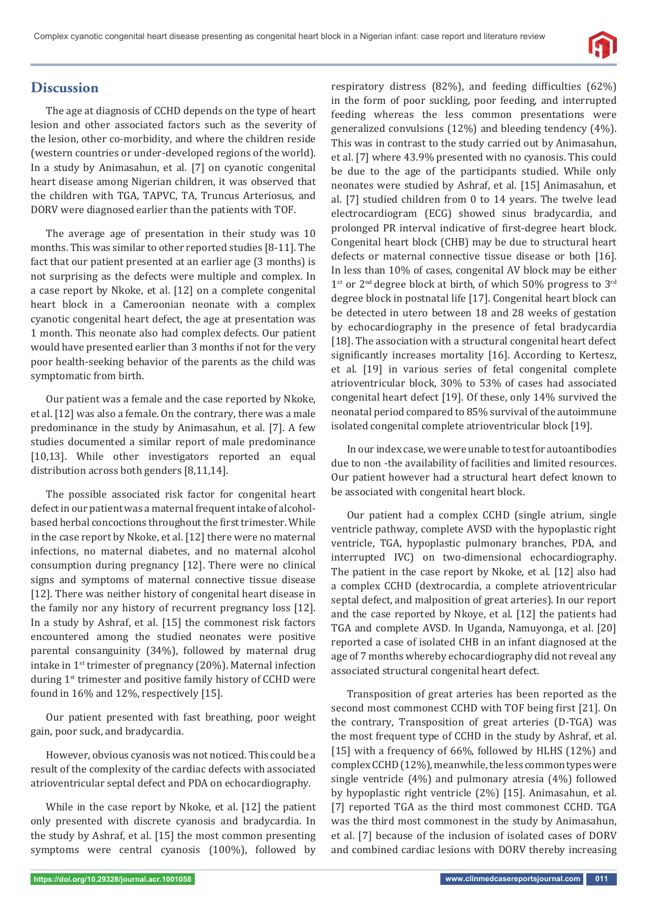

# **Discussion**

The age at diagnosis of CCHD depends on the type of heart lesion and other associated factors such as the severity of the lesion, other co-morbidity, and where the children reside (western countries or under-developed regions of the world). In a study by Animasahun, et al. [7] on cyanotic congenital heart disease among Nigerian children, it was observed that the children with TGA, TAPVC, TA, Truncus Arteriosus, and DORV were diagnosed earlier than the patients with TOF.

The average age of presentation in their study was 10 months. This was similar to other reported studies [8-11]. The fact that our patient presented at an earlier age (3 months) is not surprising as the defects were multiple and complex. In a case report by Nkoke, et al. [12] on a complete congenital heart block in a Cameroonian neonate with a complex cyanotic congenital heart defect, the age at presentation was 1 month. This neonate also had complex defects. Our patient would have presented earlier than 3 months if not for the very poor health-seeking behavior of the parents as the child was symptomatic from birth.

Our patient was a female and the case reported by Nkoke, et al. [12] was also a female. On the contrary, there was a male predominance in the study by Animasahun, et al. [7]. A few studies documented a similar report of male predominance [10,13]. While other investigators reported an equal distribution across both genders [8,11,14].

The possible associated risk factor for congenital heart defect in our patient was a maternal frequent intake of alcoholbased herbal concoctions throughout the first trimester. While in the case report by Nkoke, et al. [12] there were no maternal infections, no maternal diabetes, and no maternal alcohol consumption during pregnancy [12]. There were no clinical signs and symptoms of maternal connective tissue disease [12]. There was neither history of congenital heart disease in the family nor any history of recurrent pregnancy loss [12]. In a study by Ashraf, et al. [15] the commonest risk factors encountered among the studied neonates were positive parental consanguinity (34%), followed by maternal drug intake in  $1<sup>st</sup>$  trimester of pregnancy (20%). Maternal infection during 1<sup>st</sup> trimester and positive family history of CCHD were found in 16% and 12%, respectively [15].

Our patient presented with fast breathing, poor weight gain, poor suck, and bradycardia.

However, obvious cyanosis was not noticed. This could be a result of the complexity of the cardiac defects with associated atrioventricular septal defect and PDA on echocardiography.

While in the case report by Nkoke, et al. [12] the patient only presented with discrete cyanosis and bradycardia. In the study by Ashraf, et al. [15] the most common presenting symptoms were central cyanosis (100%), followed by respiratory distress (82%), and feeding difficulties (62%) in the form of poor suckling, poor feeding, and interrupted feeding whereas the less common presentations were generalized convulsions (12%) and bleeding tendency (4%). This was in contrast to the study carried out by Animasahun, et al. [7] where 43.9% presented with no cyanosis. This could be due to the age of the participants studied. While only neonates were studied by Ashraf, et al. [15] Animasahun, et al. [7] studied children from 0 to 14 years. The twelve lead electrocardiogram (ECG) showed sinus bradycardia, and prolonged PR interval indicative of first-degree heart block. Congenital heart block (CHB) may be due to structural heart defects or maternal connective tissue disease or both [16]. In less than 10% of cases, congenital AV block may be either 1st or 2<sup>nd</sup> degree block at birth, of which 50% progress to 3<sup>rd</sup> degree block in postnatal life [17]. Congenital heart block can be detected in utero between 18 and 28 weeks of gestation by echocardiography in the presence of fetal bradycardia [18]. The association with a structural congenital heart defect significantly increases mortality [16]. According to Kertesz, et al. [19] in various series of fetal congenital complete atrioventricular block, 30% to 53% of cases had associated congenital heart defect [19]. Of these, only 14% survived the neonatal period compared to 85% survival of the autoimmune isolated congenital complete atrioventricular block [19].

In our index case, we were unable to test for autoantibodies due to non -the availability of facilities and limited resources. Our patient however had a structural heart defect known to be associated with congenital heart block.

Our patient had a complex CCHD (single atrium, single ventricle pathway, complete AVSD with the hypoplastic right ventricle, TGA, hypoplastic pulmonary branches, PDA, and interrupted IVC) on two-dimensional echocardiography. The patient in the case report by Nkoke, et al. [12] also had a complex CCHD (dextrocardia, a complete atrioventricular septal defect, and malposition of great arteries). In our report and the case reported by Nkoye, et al. [12] the patients had TGA and complete AVSD. In Uganda, Namuyonga, et al. [20] reported a case of isolated CHB in an infant diagnosed at the age of 7 months whereby echocardiography did not reveal any associated structural congenital heart defect.

Transposition of great arteries has been reported as the second most commonest CCHD with TOF being first [21]. On the contrary, Transposition of great arteries (D-TGA) was the most frequent type of CCHD in the study by Ashraf, et al. [15] with a frequency of 66%, followed by HLHS (12%) and complex CCHD (12%), meanwhile, the less common types were single ventricle (4%) and pulmonary atresia (4%) followed by hypoplastic right ventricle (2%) [15]. Animasahun, et al. [7] reported TGA as the third most commonest CCHD. TGA was the third most commonest in the study by Animasahun, et al. [7] because of the inclusion of isolated cases of DORV and combined cardiac lesions with DORV thereby increasing